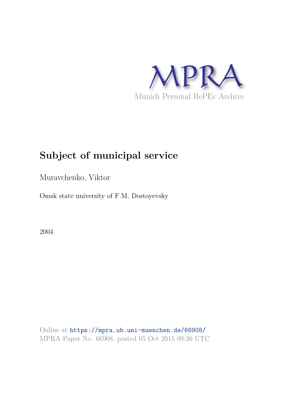

## **Subject of municipal service**

Muravchenko, Viktor

Omsk state university of F.M. Dostoyevsky

2004

Online at https://mpra.ub.uni-muenchen.de/66908/ MPRA Paper No. 66908, posted 05 Oct 2015 09:30 UTC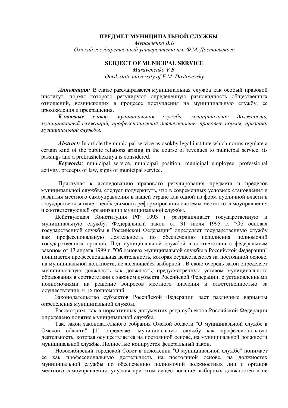## ПРЕДМЕТ МУНИЦИПАЛЬНОЙ СЛУЖБЫ

Муравченко В.Б Омский государственный университета им. Ф.М. Достоевского

## **SUBJECT OF MUNICIPAL SERVICE**

*Muravchenko V.B. Omsk state university of F.M. Dostoyevsky* 

Аннотация: В статье рассматривается муниципальная служба как особый правовой институт, нормы которого регулируют определенную разновидность общественных отношений, возникающих в процессе поступления на муниципальную службу, ее прохождения и прекращения.

Ключевые сл  $c$ лова: мунишипальная *,* мунишипальная лжность, муниципальный служащий, профессиональная деятельность, правовые нормы, признаки муниципальной службы.

*Abstract:* In article the municipal service as osokby legal institute which norms regulate a certain kind of the public relations arising in the course of revenues to municipal service, its passings and a prekrashchekniya is considered.

*Keywords:* municipal service, municipal position, municipal employee, professional activity, precepts of law, signs of municipal service.

Приступая к исследованию правового регулирования предмета и пределов муниципальной службы, следует подчеркнуть, что в современных условиях становления и развития местного самоуправления в нашей стране как одной из форм публичной власти в государстве возникает необходимость реформирования системы местного самоуправления и соответствующей организации муниципальной службы.

Действующая Конституция РФ 1993 г разграничивает государственную и муниципальную службу. Федеральный закон от 31 июля 1995 г. "Об основах государственной службы в Российской Федерации" определяет государственную службу как професс иональную деятельность по обес печению исполнения полномочий государственных органов. Под муниципальной службой в соответствии с федеральным законом от 13 апреля 1999 г. "Об основах муниципальной службы в Российской Федерации" понимается профессиональная деятельность, которая осуществляется на постоянной основе, на муниципальной должности, не являющейся выборной". В свою очередь закон определяет муниципальную должность как должность, предусмотренную уставом муниципального образования в соответствии с законом субъекта Российской Федерации, с установленными полномочиями на решение вопросов местного значения и ответственностью за осуществление ЭТИХ полномочий.

Законодательство субъектов Российской Федерации дает различные варианты определения муниципальной службы.

Рассмотрим, как в нормативных документах ряда субъектов Российской Федерации определено понятие муниципальной службы.

Так, закон законодательного собрания Омской области "О муниципальной службе в Омской области" [1] определяет муниципальную службу как профессиональную деятельность, которая осуществляется на постоянной основе, на муниципальной должности муниципальной службы. Полностью копируется федеральный закон.

Новосибирский городской Совет в положении "О муниципальной службе" понимает ее как профессиональную деятельность на постоянной основе, на должностях муниципальной службы по обеспечению полномочий должностных лиц и органов местного самоуправления, упуская при этом существование выборных должностей и не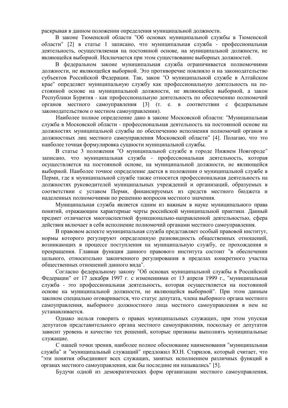раскрывая в данном положении определения муниципальной должности.

В законе Тюменской области "Об основах муниципальной службы в Тюменской области" [2] в статье 1 записано, что муниципальная служба - профессиональная деятельность, осуществляемая на постоянной основе, на муниципальной должности, не являющейся выборной. Исключается при этом существование выборных должностей.

В федеральном законе муниципальная служба ограничивается полномочиями должности, не являющейся выборной. Это противоречие повлияло и на законодательство субъектов Российской Федерации. Так, закон "О муниципальной службе в Алтайском крае" определяет муниципальную службу как профессиональную деятельность на постоянной основе на муниципальной должности, не являющейся выборной, а закон Республики Бурятия - как профессиональную деятельность по обеспечению полномочий органов местного самоуправления [3] (т. е. в соответствии с федеральным законодательством о местном самоуправлении).

Наиболее полное определение дано в законе Московской области: "Муниципальная служба в Московской области - профессиональная деятельность на постоянной основе на должностях муниципальной службы по обеспечению исполнения полномочий органов и должностных лиц местного самоуправления Московской области" [4]. Полагаю, что это наиболее точная формулировка сущности муниципальной службы.

В статье 3 положения "О муниципальной службе в городе Нижнем Новгороде" записано, что муниципальная служба - профессиональная деятельность, которая осуществляется на постоянной основе, на муниципальной должности, не являющейся выборной. Наиболее точное определение дается в положении о муниципальной службе в Перми, гле к муниципальной службе также относится профессиональная леятельность на должностях руководителей муниципальных учреждений и организаций, образуемых в соответствии с уставом Перми, финансируемых из средств местного бюджета и наделенных полномочиями по решению вопросов местного значения.

Муниципальная служба является одним из важным в науке муниципального права понятий, отражающим характерные черты российской муниципальной практики. Данный предмет отличается многоаспектной функционально-направленной деятельностью, сфера действия включает в себя исполнение полномочий органами местного самоуправления.

В правовом аспекте муниципальная служба представляет особый правовой институт, нормы которого регулируют определенную разновидность общественных отношений, возникающих в процессе поступления на муниципальную службу, ее прохождения и прекращения. Главная функция данного правового института состоит "в обеспечении цельного, относительно законченного регулирования в пределах конкретного участка общественных отношений данного вида".

Согласно федеральному закону "Об основах муниципальной службы в Российской Федерации" от 17 декабря 1997 г. с изменениями от 13 апреля 1999 г., "муниципальная служба - это профессиональная деятельность, которая осуществляется на постоянной основе на муниципальной должности, не являющейся выборной". При этом данным законом специально оговаривается, что статус депутата, члена выборного органа местного самоуправления, выборного должностного лица местного самоуправления в нем не устанавливается.

Олнако нельзя говорить о правах муниципальных служащих, при этом упуская депутатов представительного органа местного самоуправления, поскольку от депутатов зависит уровень и качество тех решений, которые призваны выполнять муниципальные служащие.

С нашей точки зрения, наиболее полное обоснование наименования "муниципальная служба" и "муниципальный служащий" предложил Ю.Н. Старилов, который считает, что "эти понятия объединяют всех служащих, занятых исполнением различных функций в органах местного самоуправления, как бы последние ни назывались" [5].

Будучи одной из демократических форм организации местного самоуправления,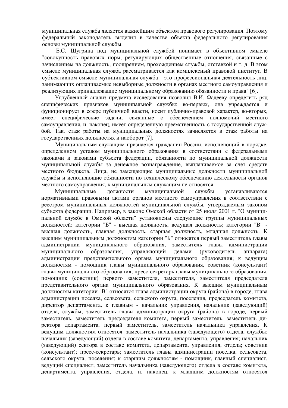муниципальная служба является важнейшим объектом правового регулирования. Поэтому федеральный законодатель выделил в качестве объекта федерального регулирования основы муниципальной службы.

Е.С. Шугрина под муниципальной службой понимает в объективном смысле "совокупность правовых норм, регулирующих общественные отношения, связанные с зачислением на должность, поощрением, прохождением службы, отставкой и т. д. В этом смысле муниципальная служба рассматривается как комплексный правовой институт. В субъективном смысле муниципальная служба - это профессиональная деятельность лиц, занимающих оплачиваемые невыборные должности в органах местного самоуправления и реализующих принадлежащие муниципальному образованию обязанности и права" [6].

Углубленный анализ предмета исследования позволил В.И. Фадееву определить ряд специфических признаков муниципальной службы: во-первых, она учреждается и функционирует в сфере публичной власти, носит публично-правовой характер, во-вторых, специфические задачи, связанные с обеспечением полномочий местного имеет самоуправления, и, наконец, имеет определенную преемственность с государственной службой. Так, стаж работы на муниципальных должностях зачисляется в стаж работы на государственных должностях и наоборот [7].

Муниципальным служащим признается гражданин России, исполняющий в порядке, определенном уставом муниципального образования в соответствии с федеральными законами и законами субъекта федерации, обязанности по муниципальной должности муниципальной службы за денежное вознаграждение, выплачиваемое за счет средств местного бюджета. Лица, не замещающие муниципальные должности муниципальной службы и исполняющие обязанности по техническому обеспечению леятельности органов местного самоуправления, к муниципальным служащим не относятся.

Муниципальные должности муниципальной службы устанавливаются нормативными правовыми актами органов местного самоуправления в соответствии с реестром муниципальных должностей муниципальной службы, утверждаемым законом субъекта федерации. Например, в законе Омской области от 25 июля 2001 г. "О муниципальной службе в Омской области" установлены следующие группы муниципальных должностей: категории "Б" - высшая должность, ведущая должность; категории "В" высшая должность, главная должность, старшая должность, младшая должность. К высшим муниципальным должностям категории "Б" относятся первый заместитель главы муниципального образования, заместитель главы администрации администрации муниципального образования. управляющий (руководитель лелами аппарата) администрации представительного органа муниципального образования; к ведущим должностям - помощник главы муниципального образования, советник (консультант) главы муниципального образования, пресс-секретарь главы муниципального образования, помощник (советник) первого заместителя, заместителя, заместителя председателя представительного органа муниципального образования. К высшим муниципальным должностям категории "В" относятся глава администрации округа (района) в городе, глава администрации поселка, сельсовета, сельского округа, поселения, председатель комитета, директор департамента, к главным - начальник управления, начальник (заведующий) отдела, службы, заместитель главы администрации округа (района) в городе, первый заместитель, заместитель председателя комитета, первый заместитель, заместитель директора департамента, первый заместитель, заместитель начальника управления. К ведущим должностям относятся: заместитель начальника (заведующего) отдела, службы; начальник (завелующий) отдела в составе комитета, департамента, управления; начальник (заведующий) сектора в составе комитета, департамента, управления, отдела; советник (консультант); пресс-секретарь; заместитель главы администрации поселка, сельсовета, сельского округа, поселения; к старшим должностям - помощник, главный специалист, ведущий специалист; заместитель начальника (заведующего) отдела в составе комитета, департамента, управления, отдела, и, наконец, к младшим должностям относятся